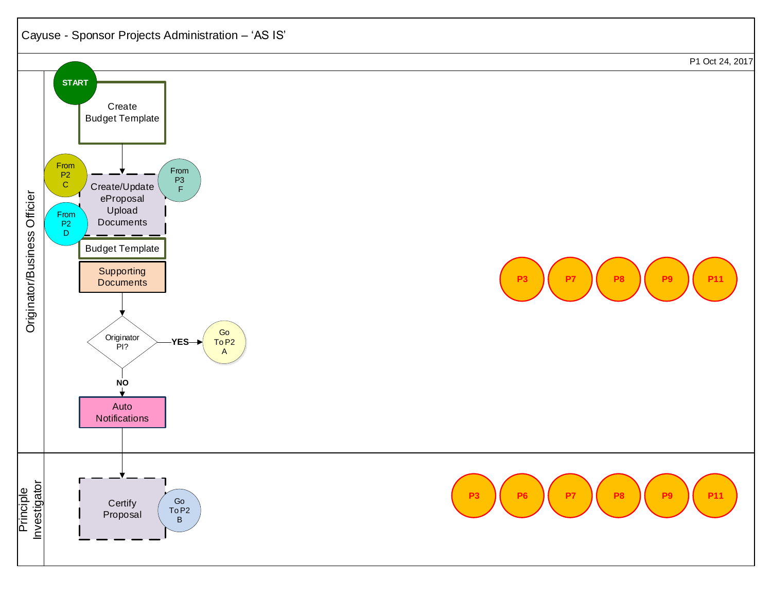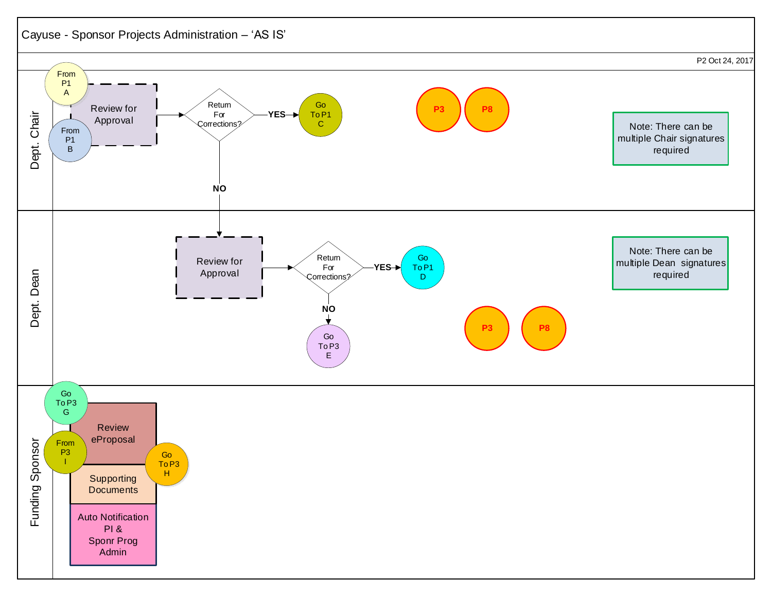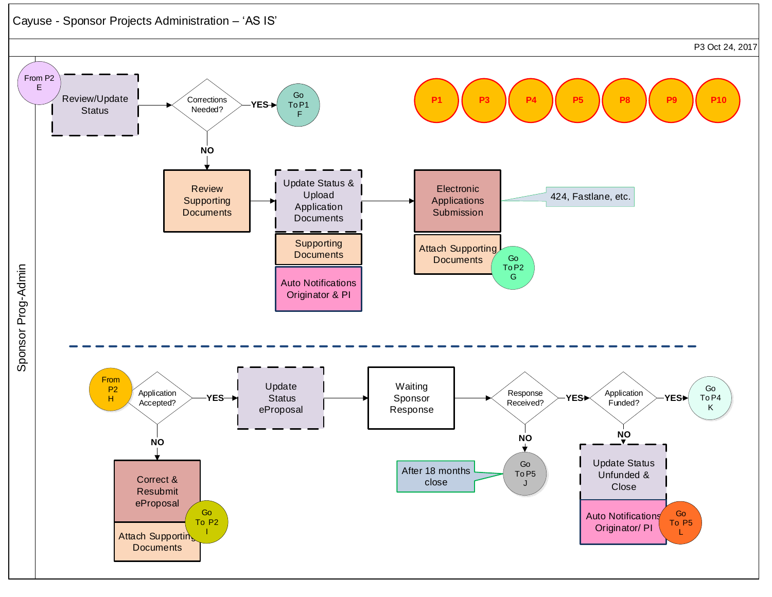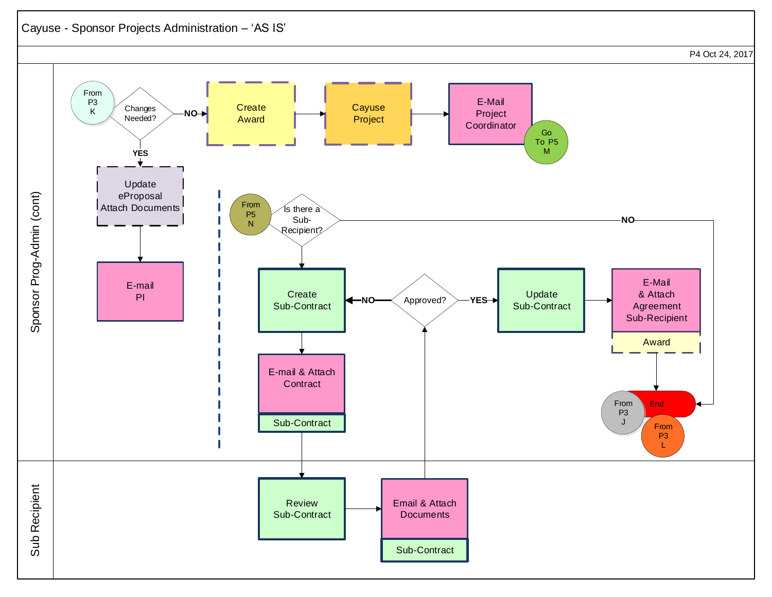## Cayuse - Sponsor Projects Administration – 'AS IS'

P4 Oct 24, 2017

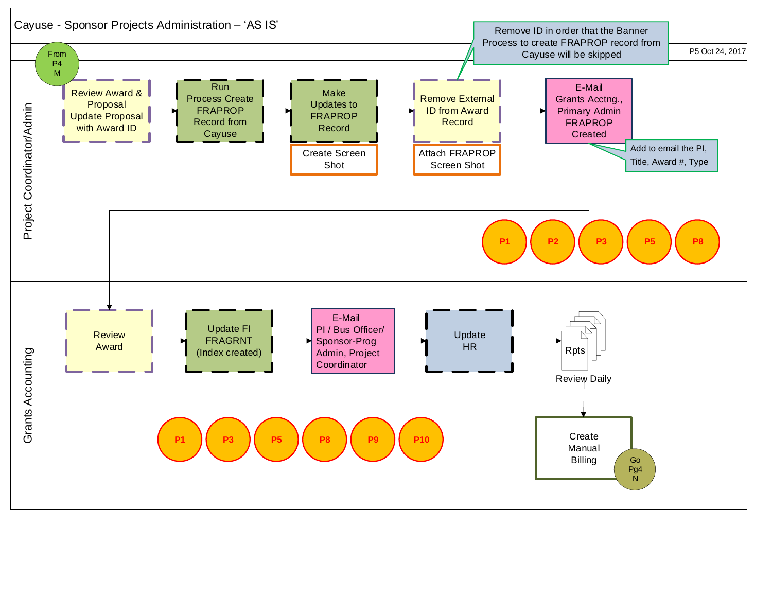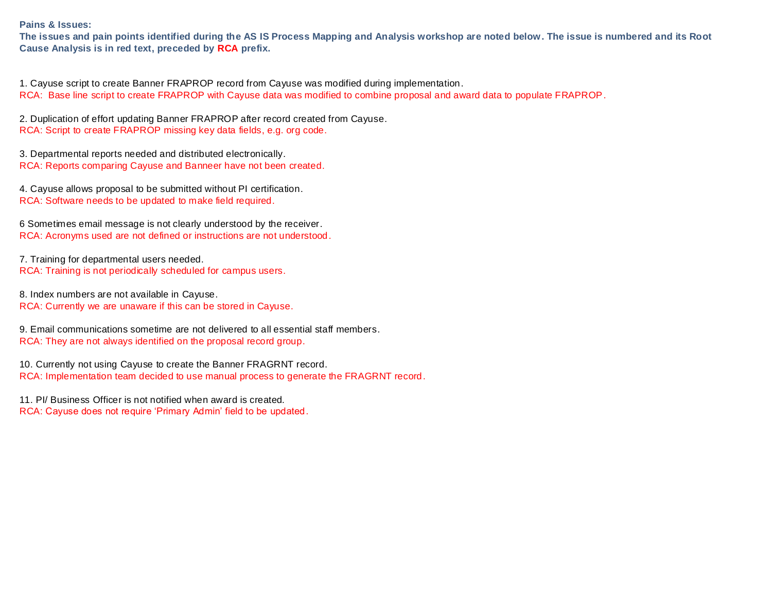**Pains & Issues:** 

**The issues and pain points identified during the AS IS Process Mapping and Analysis workshop are noted below. The issue is numbered and its Root Cause Analysis is in red text, preceded by RCA prefix.** 

1. Cayuse script to create Banner FRAPROP record from Cayuse was modified during implementation. RCA: Base line script to create FRAPROP with Cayuse data was modified to combine proposal and award data to populate FRAPROP.

2. Duplication of effort updating Banner FRAPROP after record created from Cayuse. RCA: Script to create FRAPROP missing key data fields, e.g. org code.

3. Departmental reports needed and distributed electronically. RCA: Reports comparing Cayuse and Banneer have not been created.

4. Cayuse allows proposal to be submitted without PI certification. RCA: Software needs to be updated to make field required.

6 Sometimes email message is not clearly understood by the receiver. RCA: Acronyms used are not defined or instructions are not understood.

7. Training for departmental users needed. RCA: Training is not periodically scheduled for campus users.

8. Index numbers are not available in Cayuse. RCA: Currently we are unaware if this can be stored in Cayuse.

9. Email communications sometime are not delivered to all essential staff members. RCA: They are not always identified on the proposal record group.

10. Currently not using Cayuse to create the Banner FRAGRNT record. RCA: Implementation team decided to use manual process to generate the FRAGRNT record.

11. PI/ Business Officer is not notified when award is created. RCA: Cayuse does not require 'Primary Admin' field to be updated.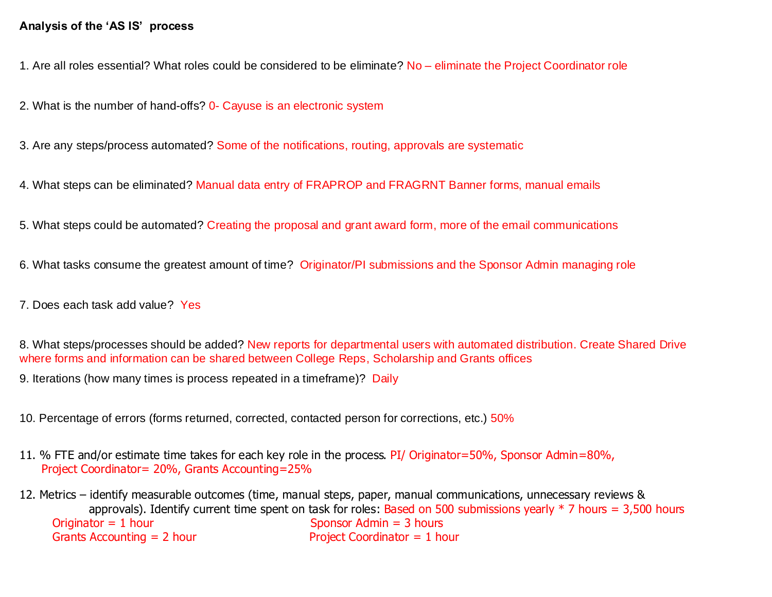## **Analysis of the 'AS IS' process**

1. Are all roles essential? What roles could be considered to be eliminate? No – eliminate the Project Coordinator role

2. What is the number of hand-offs? 0- Cayuse is an electronic system

3. Are any steps/process automated? Some of the notifications, routing, approvals are systematic

4. What steps can be eliminated? Manual data entry of FRAPROP and FRAGRNT Banner forms, manual emails

5. What steps could be automated? Creating the proposal and grant award form, more of the email communications

6. What tasks consume the greatest amount of time? Originator/PI submissions and the Sponsor Admin managing role

7. Does each task add value? Yes

8. What steps/processes should be added? New reports for departmental users with automated distribution. Create Shared Drive where forms and information can be shared between College Reps, Scholarship and Grants offices

9. Iterations (how many times is process repeated in a timeframe)? Daily

10. Percentage of errors (forms returned, corrected, contacted person for corrections, etc.) 50%

11. % FTE and/or estimate time takes for each key role in the process. PI/ Originator=50%, Sponsor Admin=80%, Project Coordinator= 20%, Grants Accounting=25%

12. Metrics – identify measurable outcomes (time, manual steps, paper, manual communications, unnecessary reviews & approvals). Identify current time spent on task for roles: Based on 500 submissions yearly  $*$  7 hours = 3,500 hours  $Originalor = 1$  hour Sponsor Admin = 3 hours Grants Accounting  $= 2$  hour Project Coordinator  $= 1$  hour